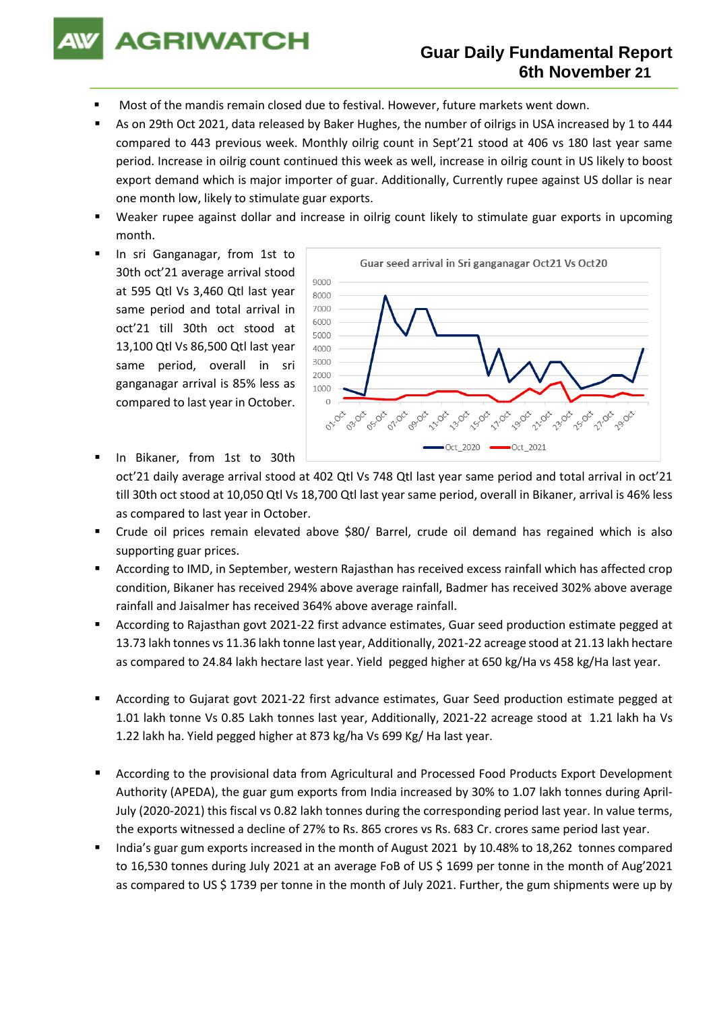

## **Guar Daily Fundamental Report 6th November 21**

- Most of the mandis remain closed due to festival. However, future markets went down.
- As on 29th Oct 2021, data released by Baker Hughes, the number of oilrigs in USA increased by 1 to 444 compared to 443 previous week. Monthly oilrig count in Sept'21 stood at 406 vs 180 last year same period. Increase in oilrig count continued this week as well, increase in oilrig count in US likely to boost export demand which is major importer of guar. Additionally, Currently rupee against US dollar is near one month low, likely to stimulate guar exports.
- Weaker rupee against dollar and increase in oilrig count likely to stimulate guar exports in upcoming month.
- In sri Ganganagar, from 1st to 30th oct'21 average arrival stood at 595 Qtl Vs 3,460 Qtl last year same period and total arrival in oct'21 till 30th oct stood at 13,100 Qtl Vs 86,500 Qtl last year same period, overall in sri ganganagar arrival is 85% less as compared to last year in October.



- In Bikaner, from 1st to 30th oct'21 daily average arrival stood at 402 Qtl Vs 748 Qtl last year same period and total arrival in oct'21 till 30th oct stood at 10,050 Qtl Vs 18,700 Qtl last year same period, overall in Bikaner, arrival is 46% less as compared to last year in October.
- Crude oil prices remain elevated above \$80/ Barrel, crude oil demand has regained which is also supporting guar prices.
- According to IMD, in September, western Rajasthan has received excess rainfall which has affected crop condition, Bikaner has received 294% above average rainfall, Badmer has received 302% above average rainfall and Jaisalmer has received 364% above average rainfall.
- According to Rajasthan govt 2021-22 first advance estimates, Guar seed production estimate pegged at 13.73 lakh tonnes vs 11.36 lakh tonne last year, Additionally, 2021-22 acreage stood at 21.13 lakh hectare as compared to 24.84 lakh hectare last year. Yield pegged higher at 650 kg/Ha vs 458 kg/Ha last year.
- According to Gujarat govt 2021-22 first advance estimates, Guar Seed production estimate pegged at 1.01 lakh tonne Vs 0.85 Lakh tonnes last year, Additionally, 2021-22 acreage stood at 1.21 lakh ha Vs 1.22 lakh ha. Yield pegged higher at 873 kg/ha Vs 699 Kg/ Ha last year.
- According to the provisional data from Agricultural and Processed Food Products Export Development Authority (APEDA), the guar gum exports from India increased by 30% to 1.07 lakh tonnes during April-July (2020-2021) this fiscal vs 0.82 lakh tonnes during the corresponding period last year. In value terms, the exports witnessed a decline of 27% to Rs. 865 crores vs Rs. 683 Cr. crores same period last year.
- India's guar gum exports increased in the month of August 2021 by 10.48% to 18,262 tonnes compared to 16,530 tonnes during July 2021 at an average FoB of US \$ 1699 per tonne in the month of Aug'2021 as compared to US \$ 1739 per tonne in the month of July 2021. Further, the gum shipments were up by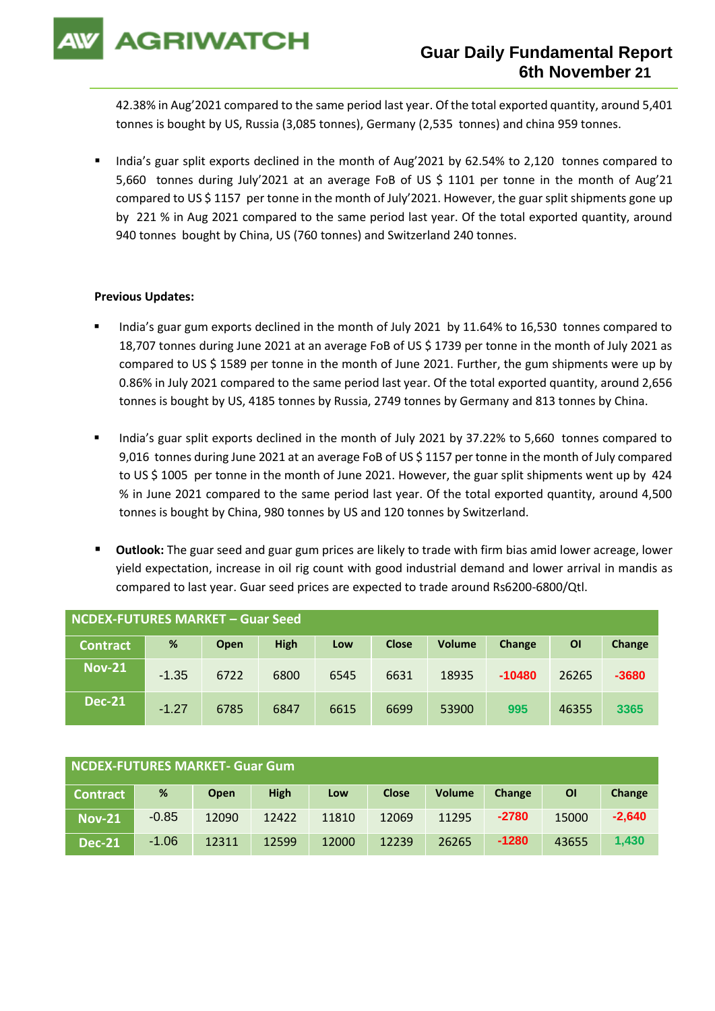**AGRIWATCH** 

42.38% in Aug'2021 compared to the same period last year. Of the total exported quantity, around 5,401 tonnes is bought by US, Russia (3,085 tonnes), Germany (2,535 tonnes) and china 959 tonnes.

India's guar split exports declined in the month of Aug'2021 by 62.54% to 2,120 tonnes compared to 5,660 tonnes during July'2021 at an average FoB of US \$ 1101 per tonne in the month of Aug'21 compared to US \$ 1157 per tonne in the month of July'2021. However, the guar split shipments gone up by 221 % in Aug 2021 compared to the same period last year. Of the total exported quantity, around 940 tonnes bought by China, US (760 tonnes) and Switzerland 240 tonnes.

## **Previous Updates:**

- India's guar gum exports declined in the month of July 2021 by 11.64% to 16,530 tonnes compared to 18,707 tonnes during June 2021 at an average FoB of US \$ 1739 per tonne in the month of July 2021 as compared to US \$ 1589 per tonne in the month of June 2021. Further, the gum shipments were up by 0.86% in July 2021 compared to the same period last year. Of the total exported quantity, around 2,656 tonnes is bought by US, 4185 tonnes by Russia, 2749 tonnes by Germany and 813 tonnes by China.
- India's guar split exports declined in the month of July 2021 by 37.22% to 5,660 tonnes compared to 9,016 tonnes during June 2021 at an average FoB of US \$ 1157 per tonne in the month of July compared to US \$ 1005 per tonne in the month of June 2021. However, the guar split shipments went up by 424 % in June 2021 compared to the same period last year. Of the total exported quantity, around 4,500 tonnes is bought by China, 980 tonnes by US and 120 tonnes by Switzerland.
- Outlook: The guar seed and guar gum prices are likely to trade with firm bias amid lower acreage, lower yield expectation, increase in oil rig count with good industrial demand and lower arrival in mandis as compared to last year. Guar seed prices are expected to trade around Rs6200-6800/Qtl.

| <b>NCDEX-FUTURES MARKET - Guar Seed</b> |         |      |             |      |              |               |          |       |         |
|-----------------------------------------|---------|------|-------------|------|--------------|---------------|----------|-------|---------|
| <b>Contract</b>                         | %       | Open | <b>High</b> | Low  | <b>Close</b> | <b>Volume</b> | Change   | ΟI    | Change  |
| <b>Nov-21</b>                           | $-1.35$ | 6722 | 6800        | 6545 | 6631         | 18935         | $-10480$ | 26265 | $-3680$ |
| <b>Dec-21</b>                           | $-1.27$ | 6785 | 6847        | 6615 | 6699         | 53900         | 995      | 46355 | 3365    |

| NCDEX-FUTURES MARKET- Guar Gum |         |             |             |       |              |               |         |       |          |
|--------------------------------|---------|-------------|-------------|-------|--------------|---------------|---------|-------|----------|
| Contract                       | %       | <b>Open</b> | <b>High</b> | Low   | <b>Close</b> | <b>Volume</b> | Change  | ΟI    | Change   |
| <b>Nov-21</b>                  | $-0.85$ | 12090       | 12422       | 11810 | 12069        | 11295         | $-2780$ | 15000 | $-2,640$ |
| <b>Dec-21</b>                  | $-1.06$ | 12311       | 12599       | 12000 | 12239        | 26265         | $-1280$ | 43655 | 1.430    |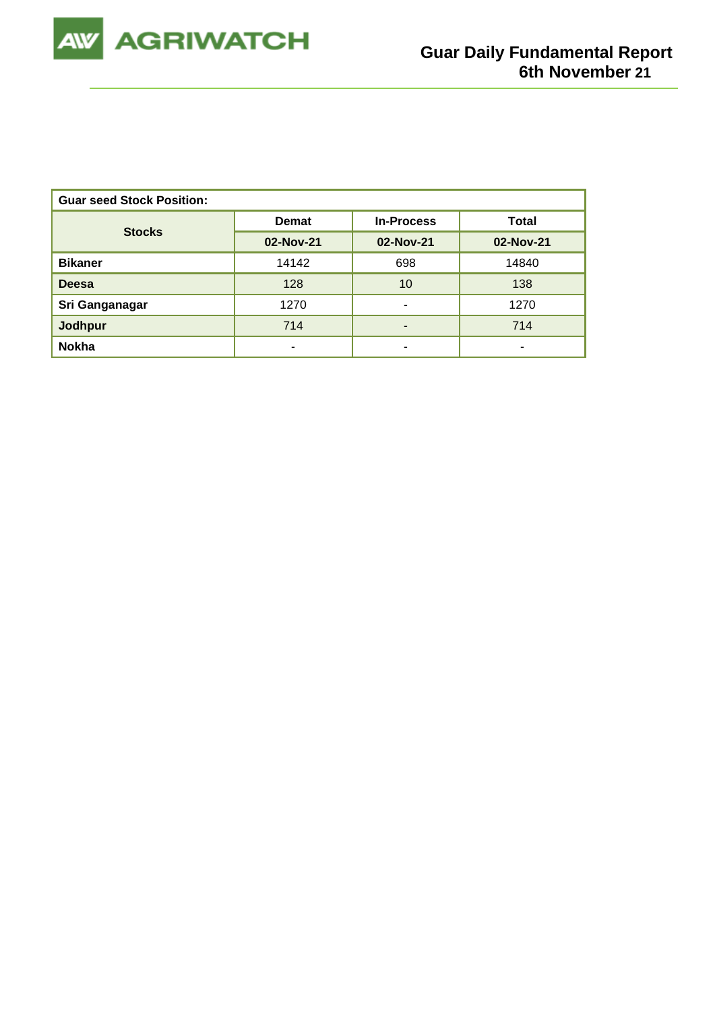

| <b>Guar seed Stock Position:</b> |              |                   |              |  |  |  |  |
|----------------------------------|--------------|-------------------|--------------|--|--|--|--|
| <b>Stocks</b>                    | <b>Demat</b> | <b>In-Process</b> | <b>Total</b> |  |  |  |  |
|                                  | 02-Nov-21    | 02-Nov-21         | 02-Nov-21    |  |  |  |  |
| <b>Bikaner</b>                   | 14142        | 698               | 14840        |  |  |  |  |
| <b>Deesa</b>                     | 128          | 10                | 138          |  |  |  |  |
| Sri Ganganagar                   | 1270         | -                 | 1270         |  |  |  |  |
| Jodhpur                          | 714          |                   | 714          |  |  |  |  |
| <b>Nokha</b>                     |              |                   |              |  |  |  |  |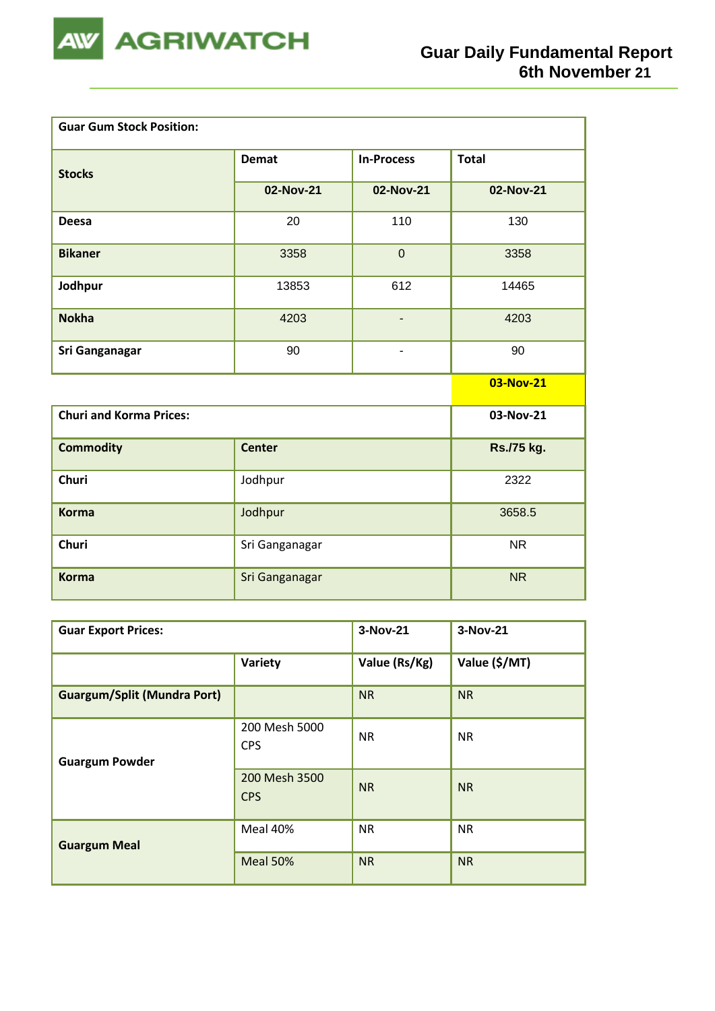

ш,

| <b>Guar Gum Stock Position:</b> |                |                   |              |
|---------------------------------|----------------|-------------------|--------------|
| <b>Stocks</b>                   | <b>Demat</b>   | <b>In-Process</b> | <b>Total</b> |
|                                 | 02-Nov-21      | 02-Nov-21         | 02-Nov-21    |
| <b>Deesa</b>                    | 20             | 110               | 130          |
| <b>Bikaner</b>                  | 3358           | $\mathbf 0$       | 3358         |
| Jodhpur                         | 13853          | 612               | 14465        |
| <b>Nokha</b>                    | 4203           | $\frac{1}{2}$     | 4203         |
| Sri Ganganagar                  | 90             | $\blacksquare$    | 90           |
|                                 |                |                   | 03-Nov-21    |
| <b>Churi and Korma Prices:</b>  |                |                   | 03-Nov-21    |
| <b>Commodity</b>                | <b>Center</b>  |                   | Rs./75 kg.   |
| <b>Churi</b>                    | Jodhpur        |                   | 2322         |
| <b>Korma</b>                    | Jodhpur        | 3658.5            |              |
| <b>Churi</b>                    | Sri Ganganagar |                   | <b>NR</b>    |
| <b>Korma</b>                    | Sri Ganganagar |                   | <b>NR</b>    |

| <b>Guar Export Prices:</b>         | 3-Nov-21                    | 3-Nov-21      |               |
|------------------------------------|-----------------------------|---------------|---------------|
|                                    | Variety                     | Value (Rs/Kg) | Value (\$/MT) |
| <b>Guargum/Split (Mundra Port)</b> |                             | <b>NR</b>     | <b>NR</b>     |
| <b>Guargum Powder</b>              | 200 Mesh 5000<br><b>CPS</b> | <b>NR</b>     | <b>NR</b>     |
|                                    | 200 Mesh 3500<br><b>CPS</b> | <b>NR</b>     | <b>NR</b>     |
| <b>Guargum Meal</b>                | Meal 40%                    | <b>NR</b>     | <b>NR</b>     |
|                                    | Meal 50%                    | <b>NR</b>     | <b>NR</b>     |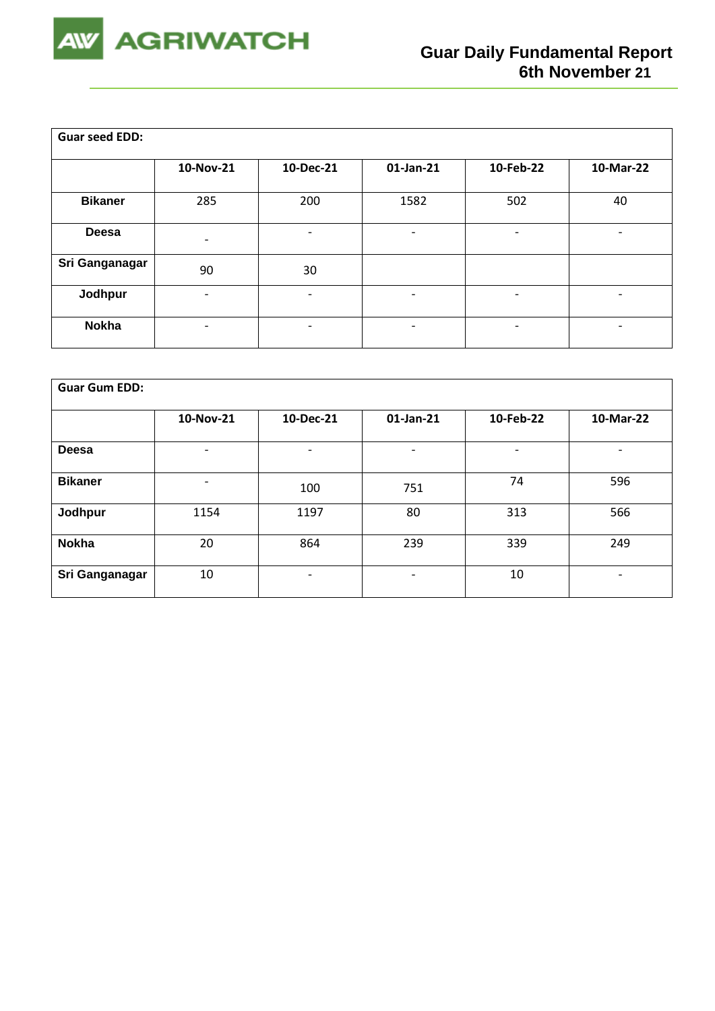

| <b>Guar seed EDD:</b> |                          |                          |                          |                          |                          |
|-----------------------|--------------------------|--------------------------|--------------------------|--------------------------|--------------------------|
|                       | 10-Nov-21                | 10-Dec-21                | $01$ -Jan-21             | 10-Feb-22                | 10-Mar-22                |
| <b>Bikaner</b>        | 285                      | 200                      | 1582                     | 502                      | 40                       |
| <b>Deesa</b>          |                          |                          | ٠                        | -                        |                          |
| Sri Ganganagar        | 90                       | 30                       |                          |                          |                          |
| Jodhpur               | $\overline{\phantom{0}}$ | $\overline{\phantom{0}}$ | $\overline{\phantom{a}}$ | $\overline{\phantom{a}}$ | $\overline{\phantom{a}}$ |
| <b>Nokha</b>          | -                        | $\overline{\phantom{a}}$ | $\overline{\phantom{a}}$ | -                        | -                        |

| <b>Guar Gum EDD:</b> |           |                          |                              |           |                          |
|----------------------|-----------|--------------------------|------------------------------|-----------|--------------------------|
|                      | 10-Nov-21 | 10-Dec-21                | 01-Jan-21                    | 10-Feb-22 | 10-Mar-22                |
| Deesa                | ۰         | $\overline{\phantom{0}}$ |                              | -         |                          |
| <b>Bikaner</b>       | ۰         | 100                      | 751                          | 74        | 596                      |
| Jodhpur              | 1154      | 1197                     | 80                           | 313       | 566                      |
| <b>Nokha</b>         | 20        | 864                      | 239                          | 339       | 249                      |
| Sri Ganganagar       | 10        | $\overline{\phantom{0}}$ | $\qquad \qquad \blacksquare$ | 10        | $\overline{\phantom{a}}$ |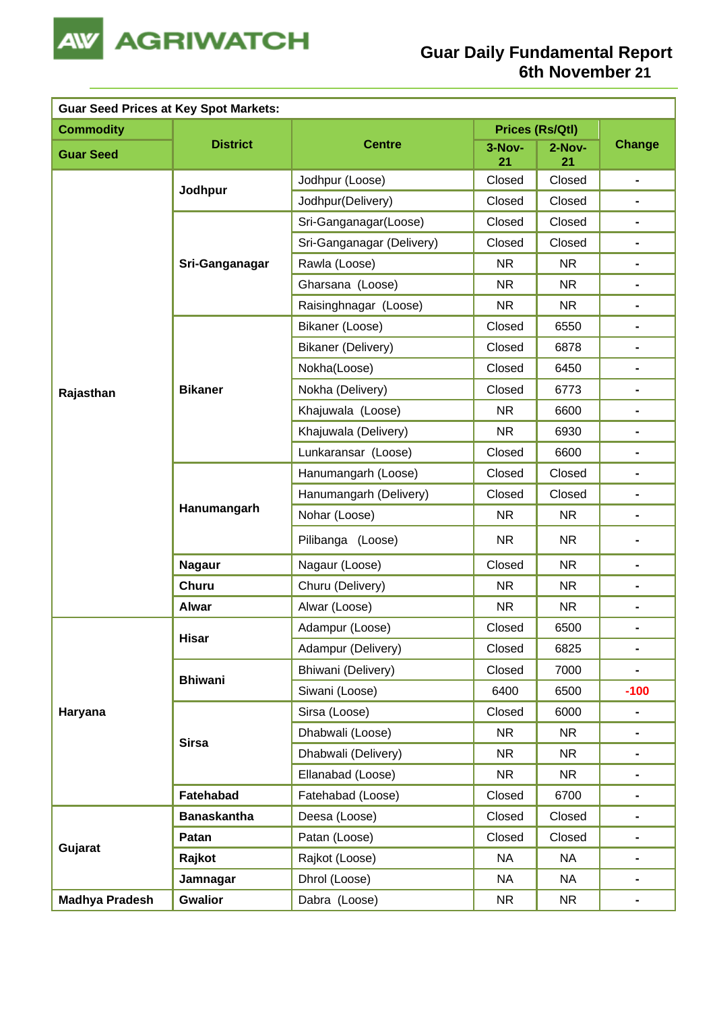

| <b>Guar Seed Prices at Key Spot Markets:</b> |                    |                           |              |                 |                              |
|----------------------------------------------|--------------------|---------------------------|--------------|-----------------|------------------------------|
| <b>Commodity</b>                             |                    |                           |              | Prices (Rs/Qtl) |                              |
| <b>Guar Seed</b>                             | <b>District</b>    | <b>Centre</b>             | 3-Nov-<br>21 | 2-Nov-<br>21    | <b>Change</b>                |
|                                              |                    | Jodhpur (Loose)           | Closed       | Closed          | $\frac{1}{2}$                |
|                                              | Jodhpur            | Jodhpur(Delivery)         | Closed       | Closed          | $\qquad \qquad \blacksquare$ |
|                                              |                    | Sri-Ganganagar(Loose)     | Closed       | Closed          | $\blacksquare$               |
|                                              |                    | Sri-Ganganagar (Delivery) | Closed       | Closed          | $\blacksquare$               |
|                                              | Sri-Ganganagar     | Rawla (Loose)             | <b>NR</b>    | <b>NR</b>       | $\blacksquare$               |
|                                              |                    | Gharsana (Loose)          | <b>NR</b>    | <b>NR</b>       | $\blacksquare$               |
|                                              |                    | Raisinghnagar (Loose)     | <b>NR</b>    | NR.             | $\blacksquare$               |
|                                              |                    | Bikaner (Loose)           | Closed       | 6550            | ۰                            |
|                                              |                    | <b>Bikaner (Delivery)</b> | Closed       | 6878            | $\blacksquare$               |
|                                              |                    | Nokha(Loose)              | Closed       | 6450            |                              |
| Rajasthan                                    | <b>Bikaner</b>     | Nokha (Delivery)          | Closed       | 6773            | $\blacksquare$               |
|                                              |                    | Khajuwala (Loose)         | <b>NR</b>    | 6600            | $\blacksquare$               |
|                                              |                    | Khajuwala (Delivery)      | <b>NR</b>    | 6930            | $\blacksquare$               |
|                                              |                    | Lunkaransar (Loose)       | Closed       | 6600            | $\blacksquare$               |
|                                              | Hanumangarh        | Hanumangarh (Loose)       | Closed       | Closed          | $\blacksquare$               |
|                                              |                    | Hanumangarh (Delivery)    | Closed       | Closed          | $\blacksquare$               |
|                                              |                    | Nohar (Loose)             | <b>NR</b>    | <b>NR</b>       | $\blacksquare$               |
|                                              |                    | Pilibanga (Loose)         | <b>NR</b>    | <b>NR</b>       | $\blacksquare$               |
|                                              | <b>Nagaur</b>      | Nagaur (Loose)            | Closed       | <b>NR</b>       | $\blacksquare$               |
|                                              | <b>Churu</b>       | Churu (Delivery)          | <b>NR</b>    | <b>NR</b>       | $\blacksquare$               |
|                                              | <b>Alwar</b>       | Alwar (Loose)             | <b>NR</b>    | <b>NR</b>       | -                            |
|                                              | Hisar              | Adampur (Loose)           | Closed       | 6500            |                              |
|                                              |                    | Adampur (Delivery)        | Closed       | 6825            | $\blacksquare$               |
|                                              | <b>Bhiwani</b>     | Bhiwani (Delivery)        | Closed       | 7000            | $\frac{1}{2}$                |
|                                              |                    | Siwani (Loose)            | 6400         | 6500            | $-100$                       |
| Haryana                                      |                    | Sirsa (Loose)             | Closed       | 6000            | $\qquad \qquad \blacksquare$ |
|                                              | <b>Sirsa</b>       | Dhabwali (Loose)          | <b>NR</b>    | <b>NR</b>       | $\blacksquare$               |
|                                              |                    | Dhabwali (Delivery)       | <b>NR</b>    | <b>NR</b>       | $\blacksquare$               |
|                                              |                    | Ellanabad (Loose)         | <b>NR</b>    | <b>NR</b>       | ۰                            |
|                                              | Fatehabad          | Fatehabad (Loose)         | Closed       | 6700            | ۰                            |
|                                              | <b>Banaskantha</b> | Deesa (Loose)             | Closed       | Closed          | ۰                            |
| Gujarat                                      | Patan              | Patan (Loose)             | Closed       | Closed          |                              |
|                                              | Rajkot             | Rajkot (Loose)            | <b>NA</b>    | <b>NA</b>       | $\blacksquare$               |
|                                              | Jamnagar           | Dhrol (Loose)             | <b>NA</b>    | <b>NA</b>       | $\blacksquare$               |
| <b>Madhya Pradesh</b>                        | <b>Gwalior</b>     | Dabra (Loose)             | <b>NR</b>    | <b>NR</b>       | -                            |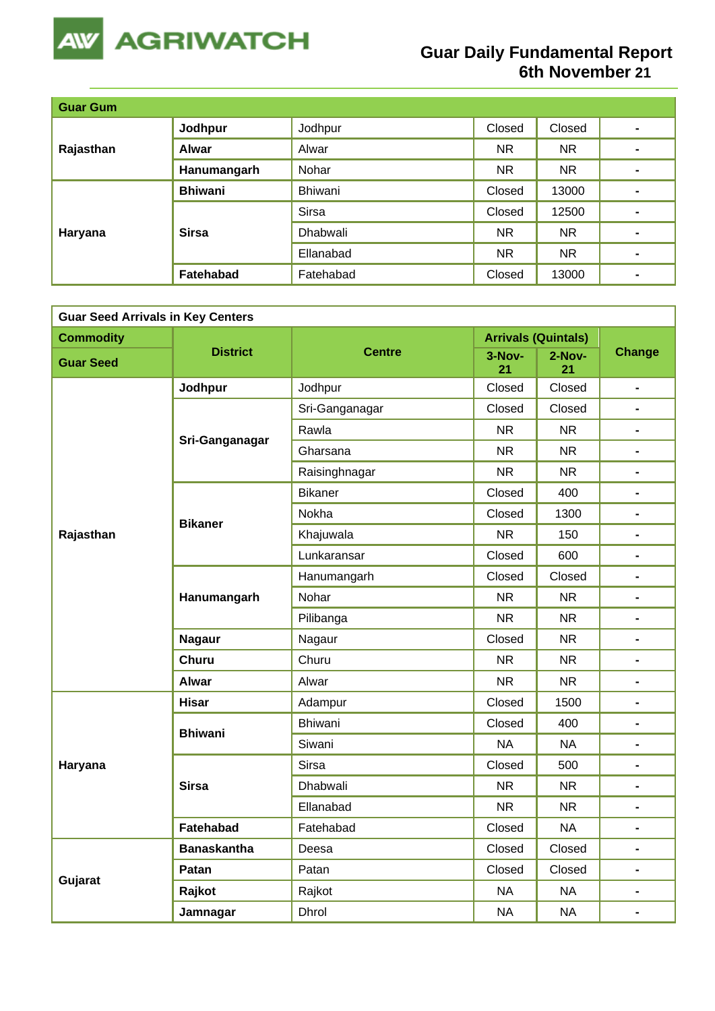

## **Guar Daily Fundamental Report 6th November 21**

| <b>Guar Gum</b> |                  |           |           |           |                |
|-----------------|------------------|-----------|-----------|-----------|----------------|
| Rajasthan       | Jodhpur          | Jodhpur   | Closed    | Closed    | $\blacksquare$ |
|                 | <b>Alwar</b>     | Alwar     | NR.       | <b>NR</b> | $\blacksquare$ |
|                 | Hanumangarh      | Nohar     | <b>NR</b> | <b>NR</b> |                |
| Haryana         | <b>Bhiwani</b>   | Bhiwani   | Closed    | 13000     | $\blacksquare$ |
|                 | <b>Sirsa</b>     | Sirsa     | Closed    | 12500     | $\blacksquare$ |
|                 |                  | Dhabwali  | NR.       | <b>NR</b> | $\blacksquare$ |
|                 |                  | Ellanabad | NR.       | <b>NR</b> | $\blacksquare$ |
|                 | <b>Fatehabad</b> | Fatehabad | Closed    | 13000     | $\blacksquare$ |

| <b>Guar Seed Arrivals in Key Centers</b> |                    |                |                            |                |                              |
|------------------------------------------|--------------------|----------------|----------------------------|----------------|------------------------------|
| <b>Commodity</b>                         |                    |                | <b>Arrivals (Quintals)</b> |                |                              |
| <b>Guar Seed</b>                         | <b>District</b>    | <b>Centre</b>  | 3-Nov-<br>21               | $2-Nov-$<br>21 | <b>Change</b>                |
|                                          | Jodhpur            | Jodhpur        | Closed                     | Closed         | -                            |
|                                          |                    | Sri-Ganganagar | Closed                     | Closed         | $\blacksquare$               |
|                                          | Sri-Ganganagar     | Rawla          | <b>NR</b>                  | <b>NR</b>      | $\blacksquare$               |
|                                          |                    | Gharsana       | <b>NR</b>                  | <b>NR</b>      | $\blacksquare$               |
|                                          |                    | Raisinghnagar  | <b>NR</b>                  | <b>NR</b>      | $\blacksquare$               |
|                                          |                    | <b>Bikaner</b> | Closed                     | 400            | $\blacksquare$               |
|                                          | <b>Bikaner</b>     | Nokha          | Closed                     | 1300           | $\qquad \qquad \blacksquare$ |
| Rajasthan                                |                    | Khajuwala      | <b>NR</b>                  | 150            | $\blacksquare$               |
|                                          |                    | Lunkaransar    | Closed                     | 600            | $\blacksquare$               |
|                                          | Hanumangarh        | Hanumangarh    | Closed                     | Closed         | $\blacksquare$               |
|                                          |                    | Nohar          | <b>NR</b>                  | <b>NR</b>      | $\blacksquare$               |
|                                          |                    | Pilibanga      | <b>NR</b>                  | <b>NR</b>      | $\blacksquare$               |
|                                          | <b>Nagaur</b>      | Nagaur         | Closed                     | <b>NR</b>      | $\blacksquare$               |
|                                          | <b>Churu</b>       | Churu          | <b>NR</b>                  | <b>NR</b>      | $\blacksquare$               |
|                                          | <b>Alwar</b>       | Alwar          | <b>NR</b>                  | <b>NR</b>      | Ξ.                           |
|                                          | <b>Hisar</b>       | Adampur        | Closed                     | 1500           | $\blacksquare$               |
|                                          | <b>Bhiwani</b>     | Bhiwani        | Closed                     | 400            |                              |
|                                          |                    | Siwani         | <b>NA</b>                  | <b>NA</b>      | $\blacksquare$               |
| Haryana                                  |                    | <b>Sirsa</b>   | Closed                     | 500            | $\blacksquare$               |
|                                          | <b>Sirsa</b>       | Dhabwali       | <b>NR</b>                  | <b>NR</b>      | $\blacksquare$               |
|                                          |                    | Ellanabad      | <b>NR</b>                  | <b>NR</b>      | -                            |
|                                          | <b>Fatehabad</b>   | Fatehabad      | Closed                     | <b>NA</b>      | $\blacksquare$               |
|                                          | <b>Banaskantha</b> | Deesa          | Closed                     | Closed         | $\qquad \qquad \blacksquare$ |
| Gujarat                                  | Patan              | Patan          | Closed                     | Closed         | $\blacksquare$               |
|                                          | Rajkot             | Rajkot         | <b>NA</b>                  | <b>NA</b>      | $\blacksquare$               |
|                                          | Jamnagar           | <b>Dhrol</b>   | <b>NA</b>                  | <b>NA</b>      | Ξ.                           |